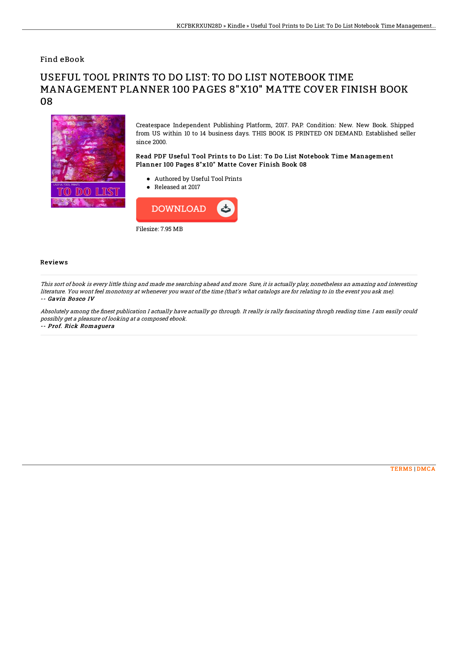Find eBook

## USEFUL TOOL PRINTS TO DO LIST: TO DO LIST NOTEBOOK TIME MANAGEMENT PLANNER 100 PAGES 8"X10" MATTE COVER FINISH BOOK 08



Createspace Independent Publishing Platform, 2017. PAP. Condition: New. New Book. Shipped from US within 10 to 14 business days. THIS BOOK IS PRINTED ON DEMAND. Established seller since 2000.

## Read PDF Useful Tool Prints to Do List: To Do List Notebook Time Management Planner 100 Pages 8"x10" Matte Cover Finish Book 08

- Authored by Useful Tool Prints
- Released at 2017



## Reviews

This sort of book is every little thing and made me searching ahead and more. Sure, it is actually play, nonetheless an amazing and interesting literature. You wont feel monotony at whenever you want of the time (that's what catalogs are for relating to in the event you ask me). -- Gavin Bosco IV

Absolutely among the finest publication I actually have actually go through. It really is rally fascinating throgh reading time. I am easily could possibly get <sup>a</sup> pleasure of looking at <sup>a</sup> composed ebook.

-- Prof. Rick Romaguera